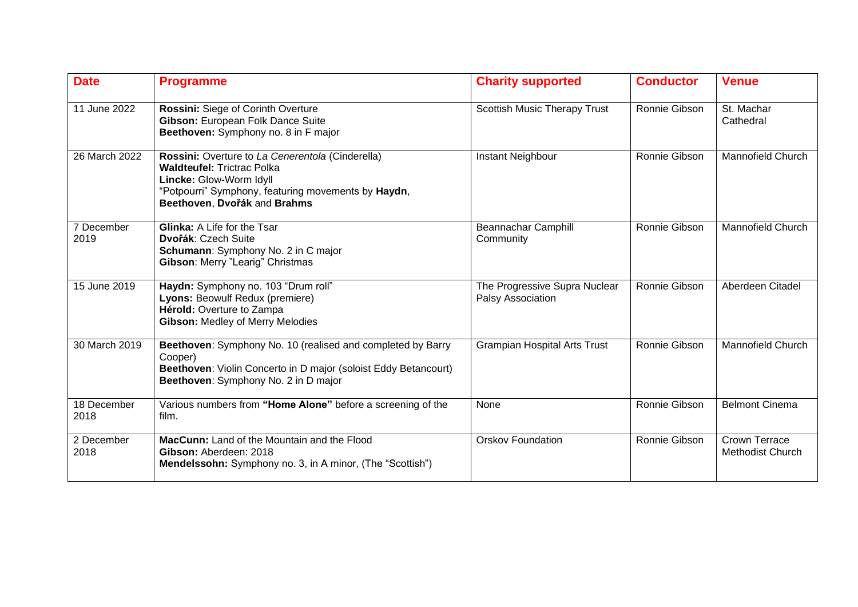| <b>Date</b>         | <b>Programme</b>                                                                                                                                                                                        | <b>Charity supported</b>                           | <b>Conductor</b> | <b>Venue</b>                                    |
|---------------------|---------------------------------------------------------------------------------------------------------------------------------------------------------------------------------------------------------|----------------------------------------------------|------------------|-------------------------------------------------|
| 11 June 2022        | Rossini: Siege of Corinth Overture<br>Gibson: European Folk Dance Suite<br>Beethoven: Symphony no. 8 in F major                                                                                         | Scottish Music Therapy Trust                       | Ronnie Gibson    | St. Machar<br>Cathedral                         |
| 26 March 2022       | Rossini: Overture to La Cenerentola (Cinderella)<br><b>Waldteufel: Trictrac Polka</b><br>Lincke: Glow-Worm Idyll<br>"Potpourri" Symphony, featuring movements by Haydn,<br>Beethoven, Dvořák and Brahms | Instant Neighbour                                  | Ronnie Gibson    | <b>Mannofield Church</b>                        |
| 7 December<br>2019  | <b>Glinka: A Life for the Tsar</b><br>Dvořák: Czech Suite<br>Schumann: Symphony No. 2 in C major<br>Gibson: Merry "Learig" Christmas                                                                    | Beannachar Camphill<br>Community                   | Ronnie Gibson    | <b>Mannofield Church</b>                        |
| 15 June 2019        | Haydn: Symphony no. 103 "Drum roll"<br>Lyons: Beowulf Redux (premiere)<br>Hérold: Overture to Zampa<br><b>Gibson: Medley of Merry Melodies</b>                                                          | The Progressive Supra Nuclear<br>Palsy Association | Ronnie Gibson    | Aberdeen Citadel                                |
| 30 March 2019       | Beethoven: Symphony No. 10 (realised and completed by Barry<br>Cooper)<br>Beethoven: Violin Concerto in D major (soloist Eddy Betancourt)<br>Beethoven: Symphony No. 2 in D major                       | <b>Grampian Hospital Arts Trust</b>                | Ronnie Gibson    | <b>Mannofield Church</b>                        |
| 18 December<br>2018 | Various numbers from "Home Alone" before a screening of the<br>film.                                                                                                                                    | <b>None</b>                                        | Ronnie Gibson    | <b>Belmont Cinema</b>                           |
| 2 December<br>2018  | MacCunn: Land of the Mountain and the Flood<br>Gibson: Aberdeen: 2018<br>Mendelssohn: Symphony no. 3, in A minor, (The "Scottish")                                                                      | <b>Orskov Foundation</b>                           | Ronnie Gibson    | <b>Crown Terrace</b><br><b>Methodist Church</b> |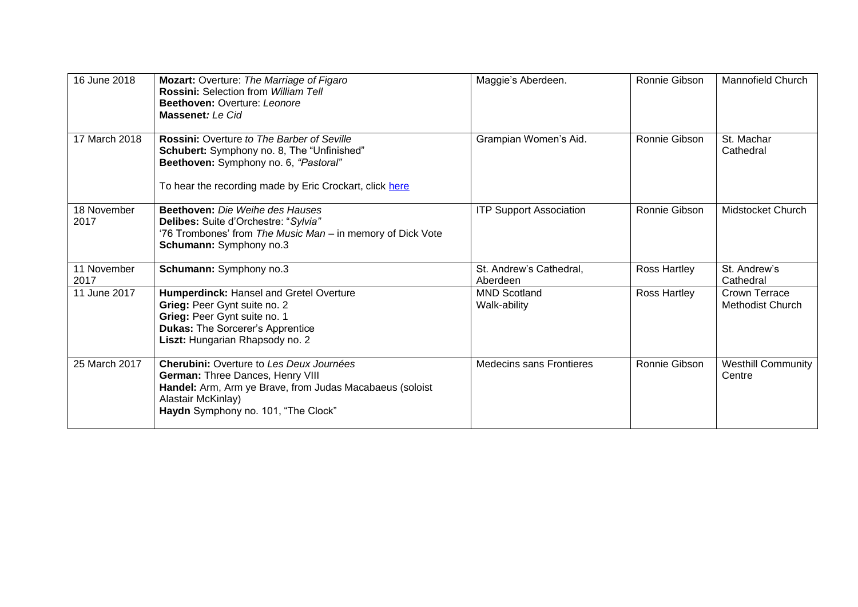| 16 June 2018        | Mozart: Overture: The Marriage of Figaro<br><b>Rossini: Selection from William Tell</b><br>Beethoven: Overture: Leonore<br>Massenet: Le Cid                                                           | Maggie's Aberdeen.                  | Ronnie Gibson | <b>Mannofield Church</b>                 |
|---------------------|-------------------------------------------------------------------------------------------------------------------------------------------------------------------------------------------------------|-------------------------------------|---------------|------------------------------------------|
| 17 March 2018       | <b>Rossini:</b> Overture to The Barber of Seville<br>Schubert: Symphony no. 8, The "Unfinished"<br>Beethoven: Symphony no. 6, "Pastoral"<br>To hear the recording made by Eric Crockart, click here   | Grampian Women's Aid.               | Ronnie Gibson | St. Machar<br>Cathedral                  |
| 18 November<br>2017 | <b>Beethoven:</b> Die Weihe des Hauses<br>Delibes: Suite d'Orchestre: "Sylvia"<br>'76 Trombones' from The Music Man - in memory of Dick Vote<br>Schumann: Symphony no.3                               | <b>ITP Support Association</b>      | Ronnie Gibson | Midstocket Church                        |
| 11 November<br>2017 | Schumann: Symphony no.3                                                                                                                                                                               | St. Andrew's Cathedral,<br>Aberdeen | Ross Hartley  | St. Andrew's<br>Cathedral                |
| 11 June 2017        | Humperdinck: Hansel and Gretel Overture<br>Grieg: Peer Gynt suite no. 2<br>Grieg: Peer Gynt suite no. 1<br><b>Dukas: The Sorcerer's Apprentice</b><br>Liszt: Hungarian Rhapsody no. 2                 | <b>MND Scotland</b><br>Walk-ability | Ross Hartley  | Crown Terrace<br><b>Methodist Church</b> |
| 25 March 2017       | Cherubini: Overture to Les Deux Journées<br>German: Three Dances, Henry VIII<br>Handel: Arm, Arm ye Brave, from Judas Macabaeus (soloist<br>Alastair McKinlay)<br>Haydn Symphony no. 101, "The Clock" | <b>Medecins sans Frontieres</b>     | Ronnie Gibson | <b>Westhill Community</b><br>Centre      |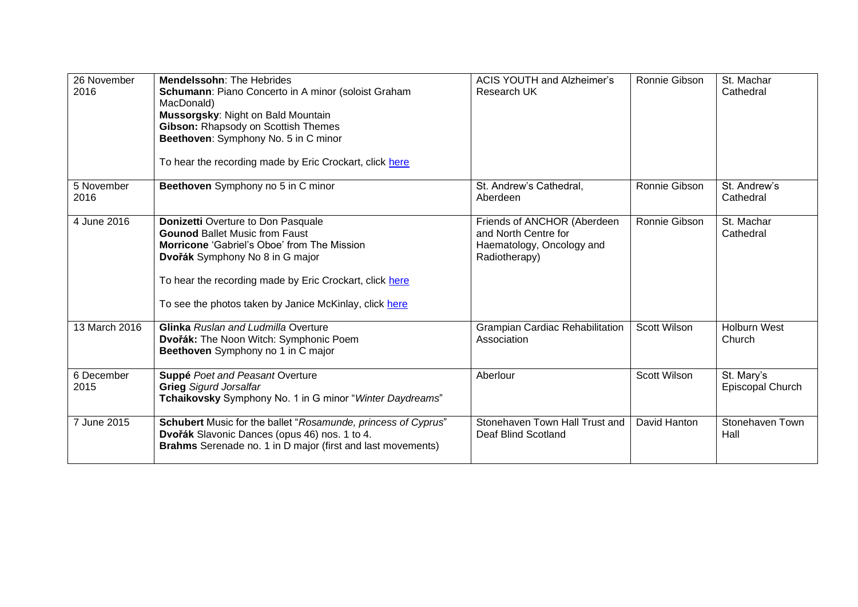| 26 November   | <b>Mendelssohn: The Hebrides</b>                              | <b>ACIS YOUTH and Alzheimer's</b>      | Ronnie Gibson       | St. Machar          |
|---------------|---------------------------------------------------------------|----------------------------------------|---------------------|---------------------|
| 2016          | Schumann: Piano Concerto in A minor (soloist Graham           | Research UK                            |                     | Cathedral           |
|               | MacDonald)<br>Mussorgsky: Night on Bald Mountain              |                                        |                     |                     |
|               | Gibson: Rhapsody on Scottish Themes                           |                                        |                     |                     |
|               | Beethoven: Symphony No. 5 in C minor                          |                                        |                     |                     |
|               |                                                               |                                        |                     |                     |
|               | To hear the recording made by Eric Crockart, click here       |                                        |                     |                     |
| 5 November    | Beethoven Symphony no 5 in C minor                            | St. Andrew's Cathedral,                | Ronnie Gibson       | St. Andrew's        |
| 2016          |                                                               | Aberdeen                               |                     | Cathedral           |
| 4 June 2016   | <b>Donizetti Overture to Don Pasquale</b>                     | Friends of ANCHOR (Aberdeen            | Ronnie Gibson       | St. Machar          |
|               | <b>Gounod Ballet Music from Faust</b>                         | and North Centre for                   |                     | Cathedral           |
|               | <b>Morricone 'Gabriel's Oboe' from The Mission</b>            | Haematology, Oncology and              |                     |                     |
|               | Dvořák Symphony No 8 in G major                               | Radiotherapy)                          |                     |                     |
|               |                                                               |                                        |                     |                     |
|               | To hear the recording made by Eric Crockart, click here       |                                        |                     |                     |
|               | To see the photos taken by Janice McKinlay, click here        |                                        |                     |                     |
| 13 March 2016 | <b>Glinka</b> Ruslan and Ludmilla Overture                    | <b>Grampian Cardiac Rehabilitation</b> | <b>Scott Wilson</b> | <b>Holburn West</b> |
|               | Dvořák: The Noon Witch: Symphonic Poem                        | Association                            |                     | Church              |
|               | Beethoven Symphony no 1 in C major                            |                                        |                     |                     |
| 6 December    | <b>Suppé Poet and Peasant Overture</b>                        | Aberlour                               | Scott Wilson        | St. Mary's          |
| 2015          | <b>Grieg Sigurd Jorsalfar</b>                                 |                                        |                     | Episcopal Church    |
|               | Tchaikovsky Symphony No. 1 in G minor "Winter Daydreams"      |                                        |                     |                     |
| 7 June 2015   | Schubert Music for the ballet "Rosamunde, princess of Cyprus" | Stonehaven Town Hall Trust and         | David Hanton        | Stonehaven Town     |
|               | Dvořák Slavonic Dances (opus 46) nos. 1 to 4.                 | Deaf Blind Scotland                    |                     | Hall                |
|               | Brahms Serenade no. 1 in D major (first and last movements)   |                                        |                     |                     |
|               |                                                               |                                        |                     |                     |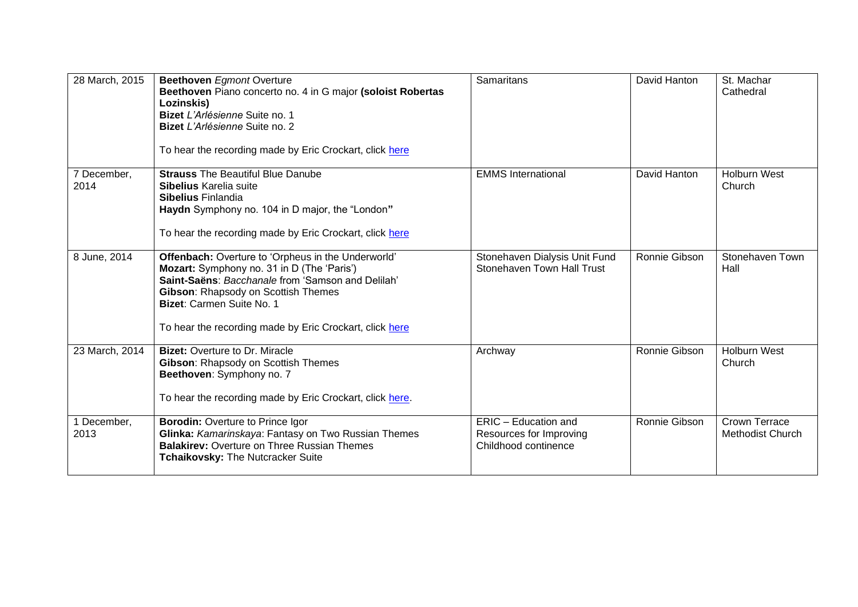| 28 March, 2015      | <b>Beethoven</b> Egmont Overture<br>Beethoven Piano concerto no. 4 in G major (soloist Robertas<br>Lozinskis)<br>Bizet L'Arlésienne Suite no. 1<br>Bizet L'Arlésienne Suite no. 2<br>To hear the recording made by Eric Crockart, click here                                         | Samaritans                                                              | David Hanton  | St. Machar<br>Cathedral                  |
|---------------------|--------------------------------------------------------------------------------------------------------------------------------------------------------------------------------------------------------------------------------------------------------------------------------------|-------------------------------------------------------------------------|---------------|------------------------------------------|
| 7 December,<br>2014 | <b>Strauss The Beautiful Blue Danube</b><br>Sibelius Karelia suite<br><b>Sibelius Finlandia</b><br>Haydn Symphony no. 104 in D major, the "London"<br>To hear the recording made by Eric Crockart, click here                                                                        | <b>EMMS</b> International                                               | David Hanton  | <b>Holburn West</b><br>Church            |
| 8 June, 2014        | Offenbach: Overture to 'Orpheus in the Underworld'<br>Mozart: Symphony no. 31 in D (The 'Paris')<br>Saint-Saëns: Bacchanale from 'Samson and Delilah'<br>Gibson: Rhapsody on Scottish Themes<br>Bizet: Carmen Suite No. 1<br>To hear the recording made by Eric Crockart, click here | Stonehaven Dialysis Unit Fund<br><b>Stonehaven Town Hall Trust</b>      | Ronnie Gibson | Stonehaven Town<br>Hall                  |
| 23 March, 2014      | <b>Bizet: Overture to Dr. Miracle</b><br>Gibson: Rhapsody on Scottish Themes<br>Beethoven: Symphony no. 7<br>To hear the recording made by Eric Crockart, click here.                                                                                                                | Archway                                                                 | Ronnie Gibson | <b>Holburn West</b><br>Church            |
| 1 December,<br>2013 | <b>Borodin: Overture to Prince Igor</b><br>Glinka: Kamarinskaya: Fantasy on Two Russian Themes<br><b>Balakirev: Overture on Three Russian Themes</b><br>Tchaikovsky: The Nutcracker Suite                                                                                            | ERIC - Education and<br>Resources for Improving<br>Childhood continence | Ronnie Gibson | Crown Terrace<br><b>Methodist Church</b> |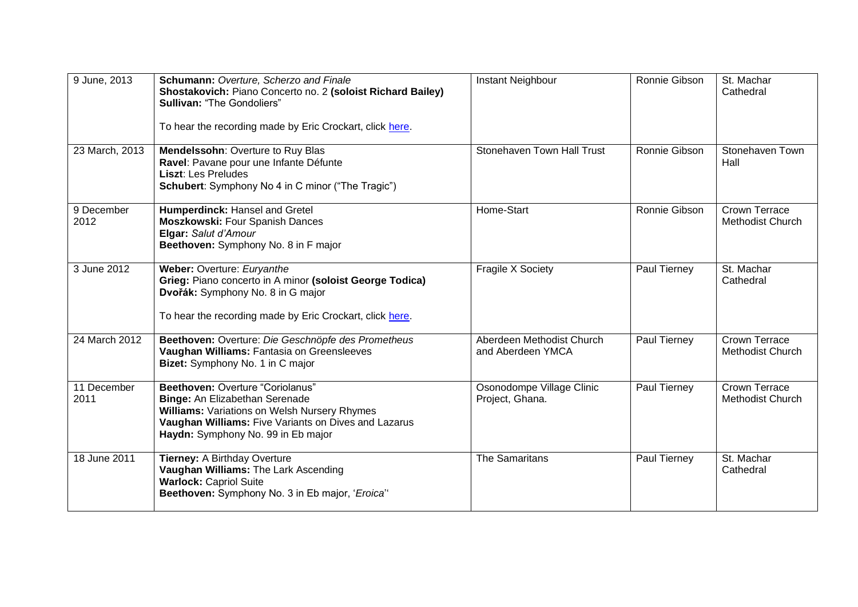| 9 June, 2013        | Schumann: Overture, Scherzo and Finale<br>Shostakovich: Piano Concerto no. 2 (soloist Richard Bailey)<br><b>Sullivan: "The Gondoliers"</b><br>To hear the recording made by Eric Crockart, click here.           | Instant Neighbour                              | Ronnie Gibson | St. Machar<br>Cathedral                         |
|---------------------|------------------------------------------------------------------------------------------------------------------------------------------------------------------------------------------------------------------|------------------------------------------------|---------------|-------------------------------------------------|
| 23 March, 2013      | Mendelssohn: Overture to Ruy Blas<br>Ravel: Pavane pour une Infante Défunte<br><b>Liszt: Les Preludes</b><br>Schubert: Symphony No 4 in C minor ("The Tragic")                                                   | Stonehaven Town Hall Trust                     | Ronnie Gibson | Stonehaven Town<br>Hall                         |
| 9 December<br>2012  | Humperdinck: Hansel and Gretel<br><b>Moszkowski: Four Spanish Dances</b><br>Elgar: Salut d'Amour<br>Beethoven: Symphony No. 8 in F major                                                                         | Home-Start                                     | Ronnie Gibson | Crown Terrace<br><b>Methodist Church</b>        |
| 3 June 2012         | Weber: Overture: Euryanthe<br>Grieg: Piano concerto in A minor (soloist George Todica)<br>Dvořák: Symphony No. 8 in G major<br>To hear the recording made by Eric Crockart, click here.                          | <b>Fragile X Society</b>                       | Paul Tierney  | St. Machar<br>Cathedral                         |
| 24 March 2012       | Beethoven: Overture: Die Geschnöpfe des Prometheus<br>Vaughan Williams: Fantasia on Greensleeves<br>Bizet: Symphony No. 1 in C major                                                                             | Aberdeen Methodist Church<br>and Aberdeen YMCA | Paul Tierney  | <b>Crown Terrace</b><br><b>Methodist Church</b> |
| 11 December<br>2011 | Beethoven: Overture "Coriolanus"<br>Binge: An Elizabethan Serenade<br>Williams: Variations on Welsh Nursery Rhymes<br>Vaughan Williams: Five Variants on Dives and Lazarus<br>Haydn: Symphony No. 99 in Eb major | Osonodompe Village Clinic<br>Project, Ghana.   | Paul Tierney  | Crown Terrace<br><b>Methodist Church</b>        |
| 18 June 2011        | Tierney: A Birthday Overture<br>Vaughan Williams: The Lark Ascending<br><b>Warlock: Capriol Suite</b><br>Beethoven: Symphony No. 3 in Eb major, 'Eroica"                                                         | <b>The Samaritans</b>                          | Paul Tierney  | St. Machar<br>Cathedral                         |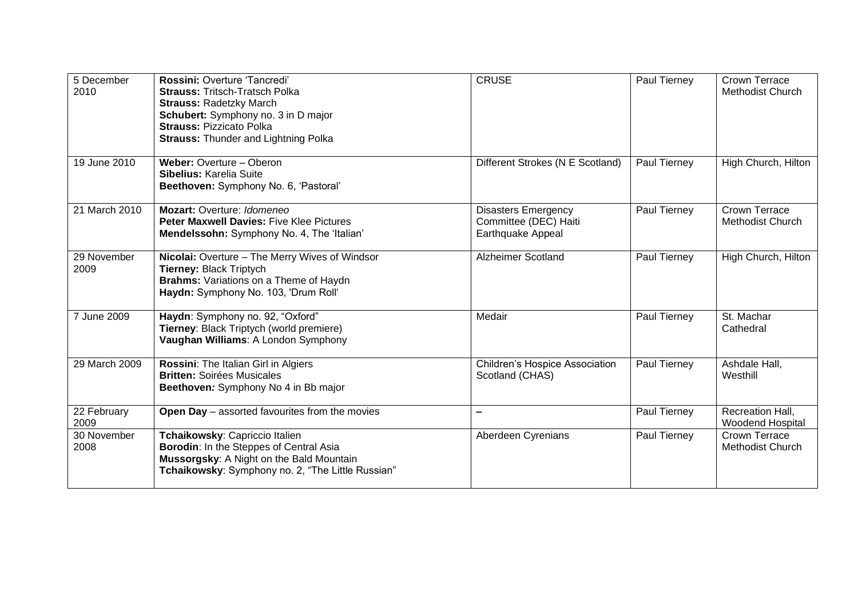| 5 December<br>2010  | Rossini: Overture 'Tancredi'<br><b>Strauss: Tritsch-Tratsch Polka</b><br><b>Strauss: Radetzky March</b><br>Schubert: Symphony no. 3 in D major<br><b>Strauss: Pizzicato Polka</b><br><b>Strauss: Thunder and Lightning Polka</b> | <b>CRUSE</b>                                                             | Paul Tierney | <b>Crown Terrace</b><br><b>Methodist Church</b> |
|---------------------|----------------------------------------------------------------------------------------------------------------------------------------------------------------------------------------------------------------------------------|--------------------------------------------------------------------------|--------------|-------------------------------------------------|
| 19 June 2010        | Weber: Overture - Oberon<br>Sibelius: Karelia Suite<br>Beethoven: Symphony No. 6, 'Pastoral'                                                                                                                                     | Different Strokes (N E Scotland)                                         | Paul Tierney | High Church, Hilton                             |
| 21 March 2010       | Mozart: Overture: Idomeneo<br><b>Peter Maxwell Davies: Five Klee Pictures</b><br>Mendelssohn: Symphony No. 4, The 'Italian'                                                                                                      | <b>Disasters Emergency</b><br>Committee (DEC) Haiti<br>Earthquake Appeal | Paul Tierney | <b>Crown Terrace</b><br><b>Methodist Church</b> |
| 29 November<br>2009 | Nicolai: Overture - The Merry Wives of Windsor<br>Tierney: Black Triptych<br>Brahms: Variations on a Theme of Haydn<br>Haydn: Symphony No. 103, 'Drum Roll'                                                                      | <b>Alzheimer Scotland</b>                                                | Paul Tierney | High Church, Hilton                             |
| 7 June 2009         | Haydn: Symphony no. 92, "Oxford"<br>Tierney: Black Triptych (world premiere)<br>Vaughan Williams: A London Symphony                                                                                                              | Medair                                                                   | Paul Tierney | St. Machar<br>Cathedral                         |
| 29 March 2009       | Rossini: The Italian Girl in Algiers<br><b>Britten: Soirées Musicales</b><br>Beethoven: Symphony No 4 in Bb major                                                                                                                | <b>Children's Hospice Association</b><br>Scotland (CHAS)                 | Paul Tierney | Ashdale Hall,<br>Westhill                       |
| 22 February<br>2009 | Open Day - assorted favourites from the movies                                                                                                                                                                                   |                                                                          | Paul Tierney | Recreation Hall,<br>Woodend Hospital            |
| 30 November<br>2008 | Tchaikowsky: Capriccio Italien<br>Borodin: In the Steppes of Central Asia<br>Mussorgsky: A Night on the Bald Mountain<br>Tchaikowsky: Symphony no. 2, "The Little Russian"                                                       | Aberdeen Cyrenians                                                       | Paul Tierney | Crown Terrace<br><b>Methodist Church</b>        |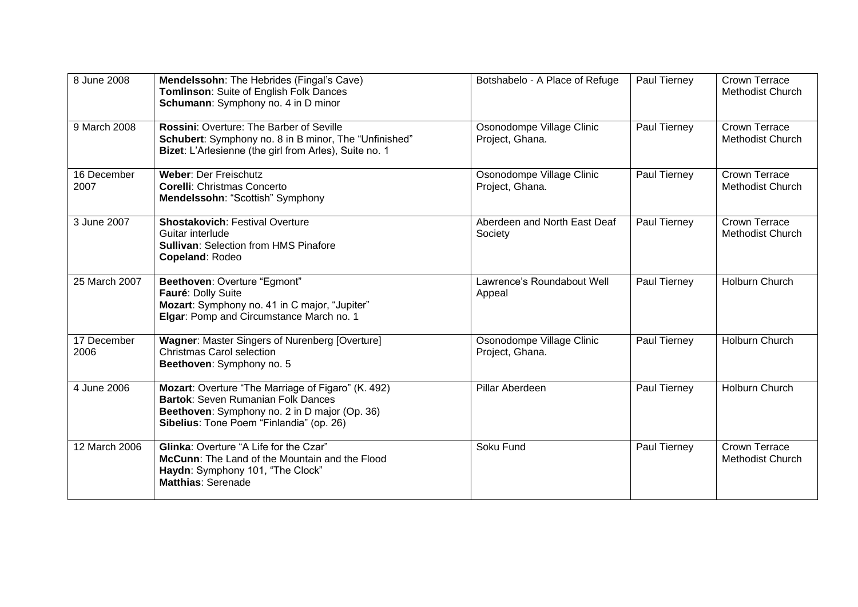| 8 June 2008         | Mendelssohn: The Hebrides (Fingal's Cave)<br>Tomlinson: Suite of English Folk Dances<br>Schumann: Symphony no. 4 in D minor                                                           | Botshabelo - A Place of Refuge               | Paul Tierney | <b>Crown Terrace</b><br>Methodist Church |
|---------------------|---------------------------------------------------------------------------------------------------------------------------------------------------------------------------------------|----------------------------------------------|--------------|------------------------------------------|
| 9 March 2008        | <b>Rossini: Overture: The Barber of Seville</b><br>Schubert: Symphony no. 8 in B minor, The "Unfinished"<br>Bizet: L'Arlesienne (the girl from Arles), Suite no. 1                    | Osonodompe Village Clinic<br>Project, Ghana. | Paul Tierney | Crown Terrace<br><b>Methodist Church</b> |
| 16 December<br>2007 | <b>Weber: Der Freischutz</b><br><b>Corelli: Christmas Concerto</b><br>Mendelssohn: "Scottish" Symphony                                                                                | Osonodompe Village Clinic<br>Project, Ghana. | Paul Tierney | Crown Terrace<br><b>Methodist Church</b> |
| 3 June 2007         | <b>Shostakovich: Festival Overture</b><br>Guitar interlude<br><b>Sullivan: Selection from HMS Pinafore</b><br>Copeland: Rodeo                                                         | Aberdeen and North East Deaf<br>Society      | Paul Tierney | Crown Terrace<br>Methodist Church        |
| 25 March 2007       | Beethoven: Overture "Egmont"<br>Fauré: Dolly Suite<br>Mozart: Symphony no. 41 in C major, "Jupiter"<br>Elgar: Pomp and Circumstance March no. 1                                       | Lawrence's Roundabout Well<br>Appeal         | Paul Tierney | Holburn Church                           |
| 17 December<br>2006 | Wagner: Master Singers of Nurenberg [Overture]<br>Christmas Carol selection<br>Beethoven: Symphony no. 5                                                                              | Osonodompe Village Clinic<br>Project, Ghana. | Paul Tierney | Holburn Church                           |
| 4 June 2006         | Mozart: Overture "The Marriage of Figaro" (K. 492)<br>Bartok: Seven Rumanian Folk Dances<br>Beethoven: Symphony no. 2 in D major (Op. 36)<br>Sibelius: Tone Poem "Finlandia" (op. 26) | Pillar Aberdeen                              | Paul Tierney | Holburn Church                           |
| 12 March 2006       | <b>Glinka: Overture "A Life for the Czar"</b><br>McCunn: The Land of the Mountain and the Flood<br>Haydn: Symphony 101, "The Clock"<br><b>Matthias: Serenade</b>                      | Soku Fund                                    | Paul Tierney | Crown Terrace<br>Methodist Church        |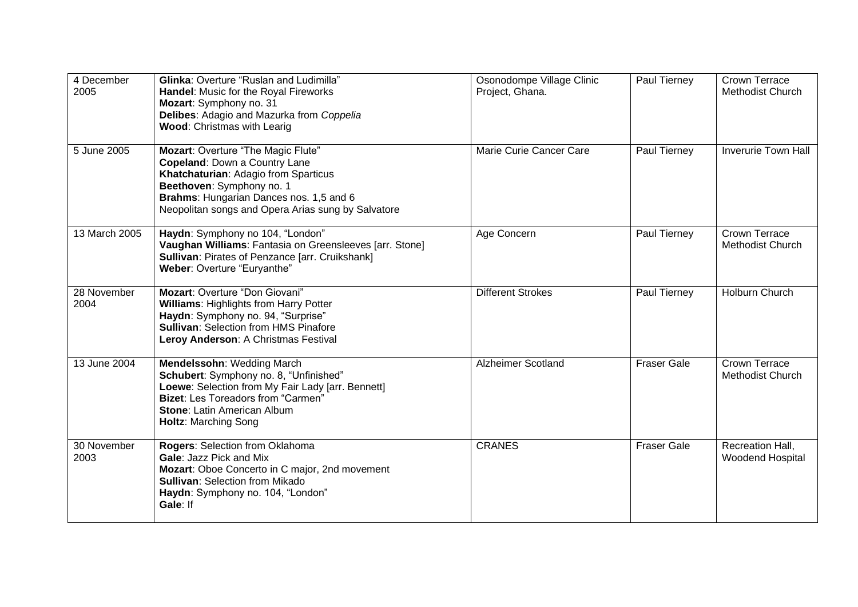| 4 December<br>2005  | Glinka: Overture "Ruslan and Ludimilla"<br>Handel: Music for the Royal Fireworks<br>Mozart: Symphony no. 31<br>Delibes: Adagio and Mazurka from Coppelia<br>Wood: Christmas with Learig                                                   | Osonodompe Village Clinic<br>Project, Ghana. | Paul Tierney       | Crown Terrace<br><b>Methodist Church</b>    |
|---------------------|-------------------------------------------------------------------------------------------------------------------------------------------------------------------------------------------------------------------------------------------|----------------------------------------------|--------------------|---------------------------------------------|
| 5 June 2005         | Mozart: Overture "The Magic Flute"<br>Copeland: Down a Country Lane<br>Khatchaturian: Adagio from Sparticus<br>Beethoven: Symphony no. 1<br>Brahms: Hungarian Dances nos. 1,5 and 6<br>Neopolitan songs and Opera Arias sung by Salvatore | Marie Curie Cancer Care                      | Paul Tierney       | <b>Inverurie Town Hall</b>                  |
| 13 March 2005       | Haydn: Symphony no 104, "London"<br>Vaughan Williams: Fantasia on Greensleeves [arr. Stone]<br>Sullivan: Pirates of Penzance [arr. Cruikshank]<br>Weber: Overture "Euryanthe"                                                             | Age Concern                                  | Paul Tierney       | Crown Terrace<br>Methodist Church           |
| 28 November<br>2004 | Mozart: Overture "Don Giovani"<br>Williams: Highlights from Harry Potter<br>Haydn: Symphony no. 94, "Surprise"<br><b>Sullivan: Selection from HMS Pinafore</b><br>Leroy Anderson: A Christmas Festival                                    | <b>Different Strokes</b>                     | Paul Tierney       | Holburn Church                              |
| 13 June 2004        | Mendelssohn: Wedding March<br>Schubert: Symphony no. 8, "Unfinished"<br>Loewe: Selection from My Fair Lady [arr. Bennett]<br><b>Bizet:</b> Les Toreadors from "Carmen"<br>Stone: Latin American Album<br><b>Holtz: Marching Song</b>      | <b>Alzheimer Scotland</b>                    | <b>Fraser Gale</b> | Crown Terrace<br><b>Methodist Church</b>    |
| 30 November<br>2003 | Rogers: Selection from Oklahoma<br>Gale: Jazz Pick and Mix<br>Mozart: Oboe Concerto in C major, 2nd movement<br><b>Sullivan: Selection from Mikado</b><br>Haydn: Symphony no. 104, "London"<br>Gale: If                                   | <b>CRANES</b>                                | <b>Fraser Gale</b> | Recreation Hall,<br><b>Woodend Hospital</b> |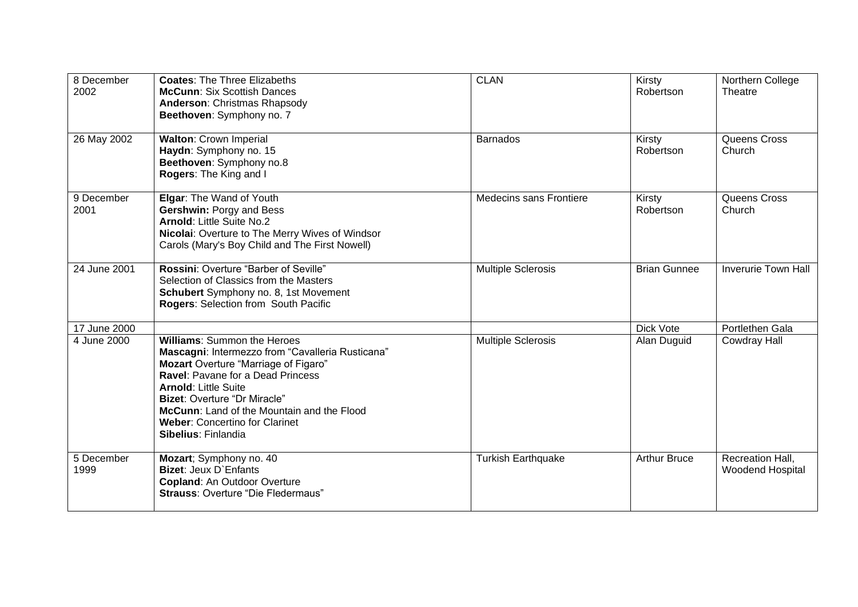| 8 December<br>2002 | <b>Coates: The Three Elizabeths</b><br><b>McCunn: Six Scottish Dances</b><br>Anderson: Christmas Rhapsody<br>Beethoven: Symphony no. 7                                                                                                                                                                                                                         | <b>CLAN</b>                    | Kirsty<br>Robertson | Northern College<br>Theatre          |
|--------------------|----------------------------------------------------------------------------------------------------------------------------------------------------------------------------------------------------------------------------------------------------------------------------------------------------------------------------------------------------------------|--------------------------------|---------------------|--------------------------------------|
| 26 May 2002        | <b>Walton: Crown Imperial</b><br>Haydn: Symphony no. 15<br>Beethoven: Symphony no.8<br>Rogers: The King and I                                                                                                                                                                                                                                                  | <b>Barnados</b>                | Kirsty<br>Robertson | Queens Cross<br>Church               |
| 9 December<br>2001 | Elgar: The Wand of Youth<br><b>Gershwin: Porgy and Bess</b><br><b>Arnold: Little Suite No.2</b><br>Nicolai: Overture to The Merry Wives of Windsor<br>Carols (Mary's Boy Child and The First Nowell)                                                                                                                                                           | <b>Medecins sans Frontiere</b> | Kirsty<br>Robertson | Queens Cross<br>Church               |
| 24 June 2001       | Rossini: Overture "Barber of Seville"<br>Selection of Classics from the Masters<br>Schubert Symphony no. 8, 1st Movement<br>Rogers: Selection from South Pacific                                                                                                                                                                                               | <b>Multiple Sclerosis</b>      | <b>Brian Gunnee</b> | <b>Inverurie Town Hall</b>           |
| 17 June 2000       |                                                                                                                                                                                                                                                                                                                                                                |                                | Dick Vote           | Portlethen Gala                      |
| 4 June 2000        | <b>Williams: Summon the Heroes</b><br>Mascagni: Intermezzo from "Cavalleria Rusticana"<br><b>Mozart</b> Overture "Marriage of Figaro"<br><b>Ravel: Pavane for a Dead Princess</b><br><b>Arnold: Little Suite</b><br><b>Bizet: Overture "Dr Miracle"</b><br>McCunn: Land of the Mountain and the Flood<br>Weber: Concertino for Clarinet<br>Sibelius: Finlandia | <b>Multiple Sclerosis</b>      | Alan Duguid         | <b>Cowdray Hall</b>                  |
| 5 December<br>1999 | Mozart; Symphony no. 40<br><b>Bizet: Jeux D'Enfants</b><br><b>Copland: An Outdoor Overture</b><br><b>Strauss: Overture "Die Fledermaus"</b>                                                                                                                                                                                                                    | <b>Turkish Earthquake</b>      | <b>Arthur Bruce</b> | Recreation Hall,<br>Woodend Hospital |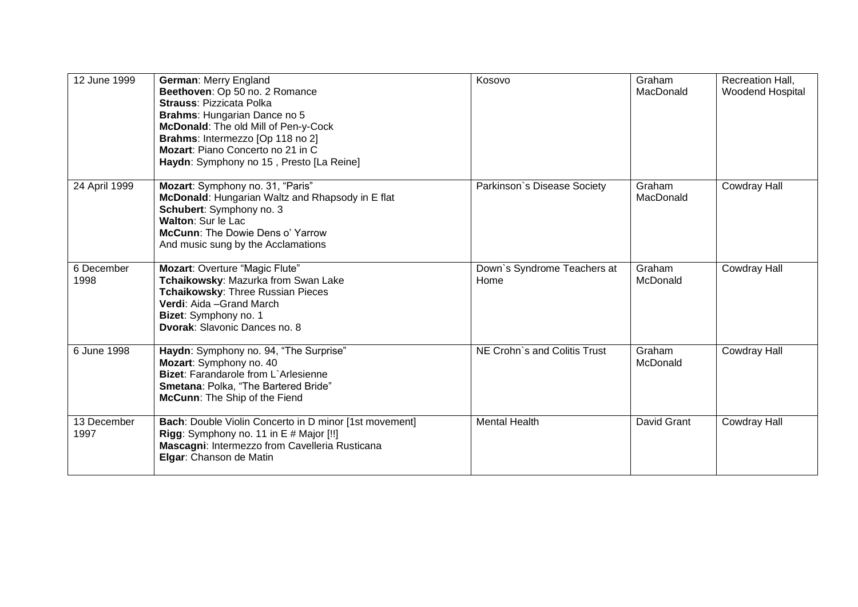| 12 June 1999        | German: Merry England<br>Beethoven: Op 50 no. 2 Romance<br><b>Strauss: Pizzicata Polka</b><br>Brahms: Hungarian Dance no 5<br>McDonald: The old Mill of Pen-y-Cock<br>Brahms: Intermezzo [Op 118 no 2]<br>Mozart: Piano Concerto no 21 in C<br>Haydn: Symphony no 15, Presto [La Reine] | Kosovo                              | Graham<br>MacDonald | Recreation Hall,<br>Woodend Hospital |
|---------------------|-----------------------------------------------------------------------------------------------------------------------------------------------------------------------------------------------------------------------------------------------------------------------------------------|-------------------------------------|---------------------|--------------------------------------|
| 24 April 1999       | Mozart: Symphony no. 31, "Paris"<br>McDonald: Hungarian Waltz and Rhapsody in E flat<br>Schubert: Symphony no. 3<br>Walton: Sur le Lac<br><b>McCunn: The Dowie Dens o' Yarrow</b><br>And music sung by the Acclamations                                                                 | Parkinson's Disease Society         | Graham<br>MacDonald | <b>Cowdray Hall</b>                  |
| 6 December<br>1998  | Mozart: Overture "Magic Flute"<br>Tchaikowsky: Mazurka from Swan Lake<br>Tchaikowsky: Three Russian Pieces<br>Verdi: Aida - Grand March<br>Bizet: Symphony no. 1<br><b>Dvorak: Slavonic Dances no. 8</b>                                                                                | Down's Syndrome Teachers at<br>Home | Graham<br>McDonald  | <b>Cowdray Hall</b>                  |
| 6 June 1998         | Haydn: Symphony no. 94, "The Surprise"<br>Mozart: Symphony no. 40<br>Bizet: Farandarole from L'Arlesienne<br>Smetana: Polka, "The Bartered Bride"<br>McCunn: The Ship of the Fiend                                                                                                      | NE Crohn's and Colitis Trust        | Graham<br>McDonald  | <b>Cowdray Hall</b>                  |
| 13 December<br>1997 | Bach: Double Violin Concerto in D minor [1st movement]<br>Rigg: Symphony no. 11 in E # Major [!!]<br>Mascagni: Intermezzo from Cavelleria Rusticana<br>Elgar: Chanson de Matin                                                                                                          | <b>Mental Health</b>                | David Grant         | <b>Cowdray Hall</b>                  |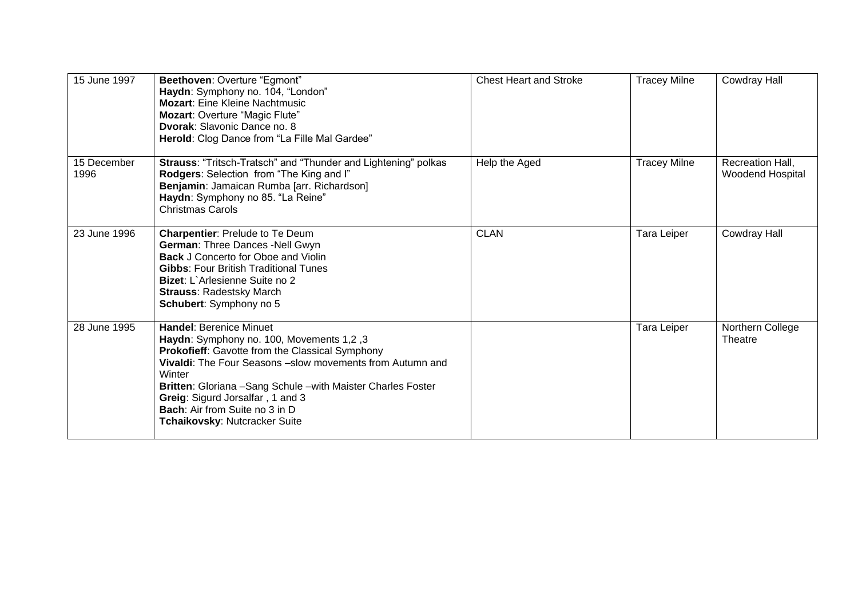| 15 June 1997        | Beethoven: Overture "Egmont"<br>Haydn: Symphony no. 104, "London"<br><b>Mozart: Eine Kleine Nachtmusic</b><br>Mozart: Overture "Magic Flute"<br>Dvorak: Slavonic Dance no. 8<br>Herold: Clog Dance from "La Fille Mal Gardee"                                                                                                                                                               | <b>Chest Heart and Stroke</b> | <b>Tracey Milne</b> | <b>Cowdray Hall</b>                         |
|---------------------|---------------------------------------------------------------------------------------------------------------------------------------------------------------------------------------------------------------------------------------------------------------------------------------------------------------------------------------------------------------------------------------------|-------------------------------|---------------------|---------------------------------------------|
| 15 December<br>1996 | Strauss: "Tritsch-Tratsch" and "Thunder and Lightening" polkas<br>Rodgers: Selection from "The King and I"<br>Benjamin: Jamaican Rumba [arr. Richardson]<br>Haydn: Symphony no 85. "La Reine"<br><b>Christmas Carols</b>                                                                                                                                                                    | Help the Aged                 | <b>Tracey Milne</b> | Recreation Hall,<br><b>Woodend Hospital</b> |
| 23 June 1996        | <b>Charpentier: Prelude to Te Deum</b><br>German: Three Dances -Nell Gwyn<br><b>Back J Concerto for Oboe and Violin</b><br><b>Gibbs: Four British Traditional Tunes</b><br>Bizet: L'Arlesienne Suite no 2<br><b>Strauss: Radestsky March</b><br>Schubert: Symphony no 5                                                                                                                     | <b>CLAN</b>                   | Tara Leiper         | <b>Cowdray Hall</b>                         |
| 28 June 1995        | <b>Handel: Berenice Minuet</b><br>Haydn: Symphony no. 100, Movements 1,2, 3<br>Prokofieff: Gavotte from the Classical Symphony<br><b>Vivaldi:</b> The Four Seasons –slow movements from Autumn and<br>Winter<br>Britten: Gloriana - Sang Schule - with Maister Charles Foster<br>Greig: Sigurd Jorsalfar, 1 and 3<br><b>Bach:</b> Air from Suite no 3 in D<br>Tchaikovsky: Nutcracker Suite |                               | Tara Leiper         | Northern College<br>Theatre                 |